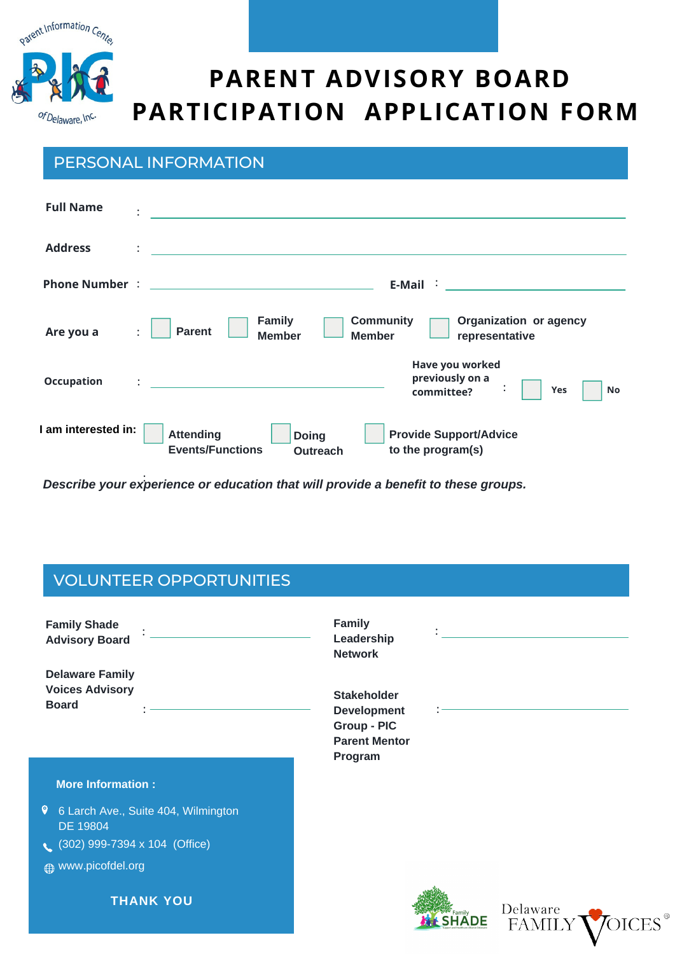

# **PARENT ADVISORY BOARD PARTICIPATION APPLICATION FORM**

#### PERSONAL INFORMATION

| <b>Full Name</b>    | $\ddot{\phantom{a}}$                                                                                                                                     |
|---------------------|----------------------------------------------------------------------------------------------------------------------------------------------------------|
| <b>Address</b>      | $\ddot{\phantom{a}}$<br><u> 1980 - Jan Stein Stein Stein Stein Stein Stein Stein Stein Stein Stein Stein Stein Stein Stein Stein Stein S</u>             |
|                     | $E\text{-Mail}$ is a set of $\overline{E}$                                                                                                               |
| Are you a           | Organization or agency<br><b>Community</b><br><b>Family</b><br><b>Parent</b><br>$\ddot{\phantom{a}}$<br><b>Member</b><br><b>Member</b><br>representative |
| <b>Occupation</b>   | Have you worked<br>previously on a<br>committee?<br>Yes<br>No                                                                                            |
| I am interested in: | <b>Attending</b><br><b>Provide Support/Advice</b><br><b>Doing</b><br><b>Events/Functions</b><br>to the program(s)<br><b>Outreach</b>                     |

*Describe your experience or education that will provide a benefit to these groups.* :

### VOLUNTEER OPPORTUNITIES

| <b>Family Shade</b><br><b>Advisory Board</b>                     | <b>Family</b><br>Leadership<br><b>Network</b>                                                                       |  |
|------------------------------------------------------------------|---------------------------------------------------------------------------------------------------------------------|--|
| <b>Delaware Family</b><br><b>Voices Advisory</b><br><b>Board</b> | <b>Stakeholder</b><br><b>Development</b><br>Group - PIC<br><b>Parent Mentor</b><br>Program                          |  |
| <b>More Information:</b>                                         |                                                                                                                     |  |
| $\bullet$<br>6 Larch Ave., Suite 404, Wilmington<br>DE 19804     |                                                                                                                     |  |
| $(302)$ 999-7394 x 104 (Office)                                  |                                                                                                                     |  |
| <b>A</b> www.picofdel.org                                        |                                                                                                                     |  |
| <b>THANK YOU</b>                                                 | Delaware<br>$\begin{array}{ccc} \begin{array}{ccc} \text{Family} \\ \end{array} \end{array}$<br>DE<br><b>FAMILY</b> |  |
|                                                                  |                                                                                                                     |  |